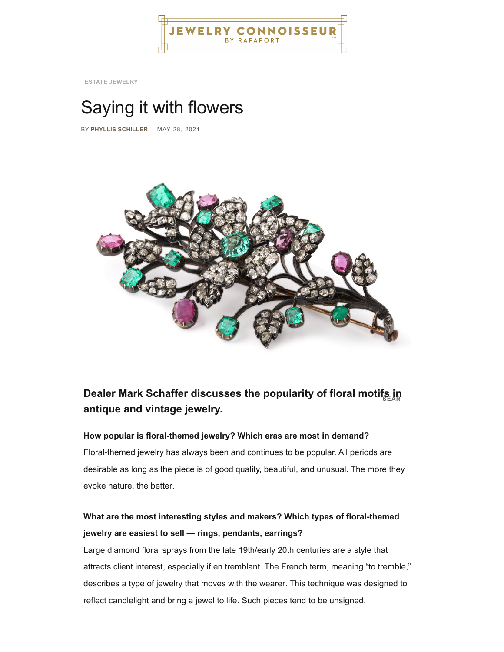

**ESTATE JEWELRY**

# Saying it with flowers

BY **[PHYLLIS SCHILLER](https://jewelryconnoisseur.net/author/phyllis-schiller/)** - [MAY 28, 2021](https://jewelryconnoisseur.net/saying-it-with-flowers/)



# **antique and vintage jewelry. Dealer Mark Schaffer discusses the popularity of floral motifs in**

#### **How popular is floral-themed jewelry? Which eras are most in demand?**

Floral-themed jewelry has always been and continues to be popular. All periods are desirable as long as the piece is of good quality, beautiful, and unusual. The more they evoke nature, the better.

## **What are the most interesting styles and makers? Which types of floral-themed jewelry are easiest to sell — rings, pendants, earrings?**

Large diamond floral sprays from the late 19th/early 20th centuries are a style that [attracts client interest, especially if en tremblant. The French term, meaning "to tremble,"](https://jewelryconnoisseur.net/wp-content/uploads/2021/05/brooch-770x515-1.jpg) describes a type of jewelry that moves with the wearer. This technique was designed to reflect candlelight and bring a jewel to life. Such pieces tend to be unsigned.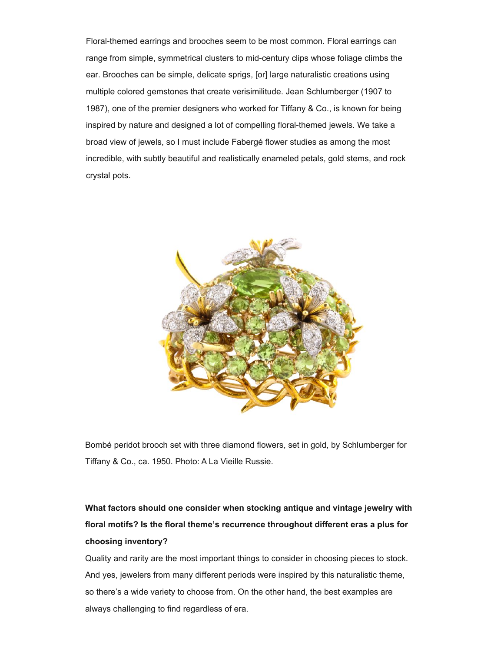Floral-themed earrings and brooches seem to be most common. Floral earrings can range from simple, symmetrical clusters to mid-century clips whose foliage climbs the ear. Brooches can be simple, delicate sprigs, [or] large naturalistic creations using multiple colored gemstones that create verisimilitude. Jean Schlumberger (1907 to 1987), one of the premier designers who worked for Tiffany & Co., is known for being inspired by nature and designed a lot of compelling floral-themed jewels. We take a broad view of jewels, so I must include Fabergé flower studies as among the most incredible, with subtly beautiful and realistically enameled petals, gold stems, and rock crystal pots.



Bombé peridot brooch set with three diamond flowers, set in gold, by Schlumberger for Tiffany & Co., ca. 1950. Photo: A La Vieille Russie.

# **What factors should one consider when stocking antique and vintage jewelry with floral motifs? Is the floral theme's recurrence throughout different eras a plus for choosing inventory?**

Quality and rarity are the most important things to consider in choosing pieces to stock. And yes, jewelers from many different periods were inspired by this naturalistic theme, so there's a wide variety to choose from. On the other hand, the best examples are always challenging to find regardless of era.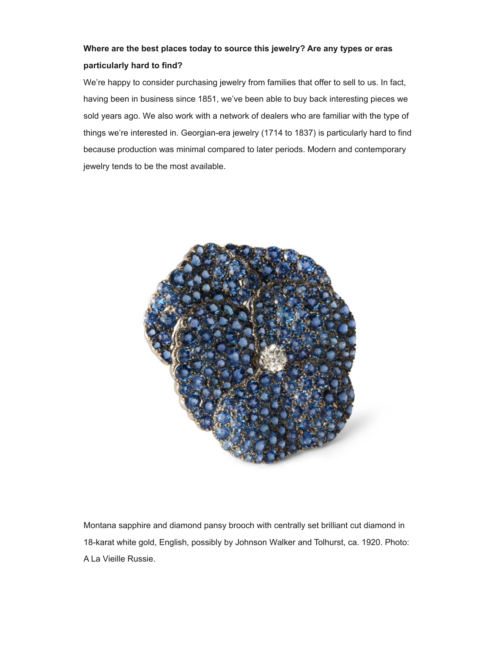### **Where are the best places today to source this jewelry? Are any types or eras particularly hard to find?**

We're happy to consider purchasing jewelry from families that offer to sell to us. In fact, having been in business since 1851, we've been able to buy back interesting pieces we sold years ago. We also work with a network of dealers who are familiar with the type of things we're interested in. Georgian-era jewelry (1714 to 1837) is particularly hard to find because production was minimal compared to later periods. Modern and contemporary jewelry tends to be the most available.



Montana sapphire and diamond pansy brooch with centrally set brilliant cut diamond in 18-karat white gold, English, possibly by Johnson Walker and Tolhurst, ca. 1920. Photo: A La Vieille Russie.